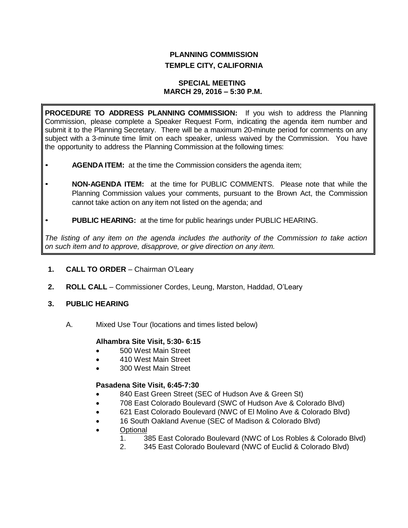# **PLANNING COMMISSION TEMPLE CITY, CALIFORNIA**

#### **SPECIAL MEETING MARCH 29, 2016 – 5:30 P.M.**

**PROCEDURE TO ADDRESS PLANNING COMMISSION:** If you wish to address the Planning Commission, please complete a Speaker Request Form, indicating the agenda item number and submit it to the Planning Secretary. There will be a maximum 20-minute period for comments on any subject with a 3-minute time limit on each speaker, unless waived by the Commission. You have the opportunity to address the Planning Commission at the following times:

- **AGENDA ITEM:** at the time the Commission considers the agenda item;
- **NON-AGENDA ITEM:** at the time for PUBLIC COMMENTS. Please note that while the Planning Commission values your comments, pursuant to the Brown Act, the Commission cannot take action on any item not listed on the agenda; and
- **PUBLIC HEARING:** at the time for public hearings under PUBLIC HEARING.

*The listing of any item on the agenda includes the authority of the Commission to take action on such item and to approve, disapprove, or give direction on any item.*

# **1. CALL TO ORDER** – Chairman O'Leary

**2. ROLL CALL** – Commissioner Cordes, Leung, Marston, Haddad, O'Leary

# **3. PUBLIC HEARING**

A. Mixed Use Tour (locations and times listed below)

# **Alhambra Site Visit, 5:30- 6:15**

- 500 West Main Street
- 410 West Main Street
- 300 West Main Street

# **Pasadena Site Visit, 6:45-7:30**

- 840 East Green Street (SEC of Hudson Ave & Green St)
- 708 East Colorado Boulevard (SWC of Hudson Ave & Colorado Blvd)
- 621 East Colorado Boulevard (NWC of El Molino Ave & Colorado Blvd)
- 16 South Oakland Avenue (SEC of Madison & Colorado Blvd)
- **Optional** 
	- 1. 385 East Colorado Boulevard (NWC of Los Robles & Colorado Blvd)
		- 2. 345 East Colorado Boulevard (NWC of Euclid & Colorado Blvd)